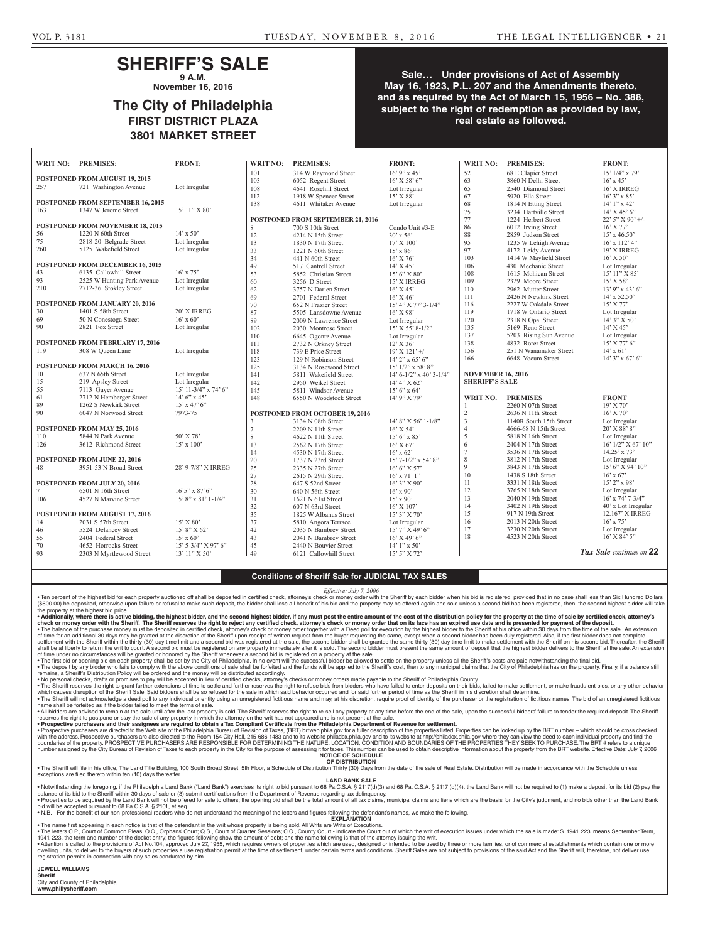## **SHERIFF'S SALE 9 A.M.**

**November 16, 2016**

# **The City of Philadelphia FIRST DISTRICT PLAZA 3801 MARKET STREET**

### **Sale… Under provisions of Act of Assembly May 16, 1923, P.L. 207 and the Amendments thereto, and as required by the Act of March 15, 1956 – No. 388, subject to the right of redemption as provided by law, real estate as followed.**

|                                | WRIT NO: PREMISES:                      | <b>FRONT:</b>         | <b>WRIT NO:</b> | <b>PREMISES:</b>                  | <b>FRONT:</b>                | WRIT NO:                 | <b>PREMISES:</b>        | <b>FRONT:</b>                |
|--------------------------------|-----------------------------------------|-----------------------|-----------------|-----------------------------------|------------------------------|--------------------------|-------------------------|------------------------------|
|                                |                                         |                       | 101             | 314 W Raymond Street              | $16'$ 9" x 45'               | 52                       | 68 E Clapier Street     | $15'$ $1/4''$ x 79'          |
|                                | POSTPONED FROM AUGUST 19, 2015          |                       | 103             | 6052 Regent Street                | 16' X 58' 6"                 | 63                       | 3860 N Delhi Street     | $16'$ x 45'                  |
| 257                            | 721 Washington Avenue                   | Lot Irregular         | 108             | 4641 Rosehill Street              | Lot Irregular                | 65                       | 2540 Diamond Street     | 16' X IRREG                  |
|                                |                                         |                       | 112             | 1918 W Spencer Street             | 15' X 88'                    | 67                       | 5920 Ella Street        | $16'3''$ x 85'               |
|                                | POSTPONED FROM SEPTEMBER 16, 2015       |                       | 138             | 4611 Whitaker Avenue              | Lot Irregular                | 68                       | 1814 N Etting Street    | $14'1''$ x 42'               |
| 163                            | 1347 W Jerome Street                    | 15' 11" X 80'         |                 |                                   |                              | 75                       | 3234 Hartville Street   | $14'$ X 45' 6"               |
|                                |                                         |                       |                 | POSTPONED FROM SEPTEMBER 21, 2016 |                              | 77                       | 1224 Herbert Street     | $22'$ 5" X 90' +/-           |
|                                | POSTPONED FROM NOVEMBER 18, 2015        |                       | 8               | 700 S 10th Street                 | Condo Unit #3-E              | 86                       | 6012 Irving Street      | 16' X 77'                    |
| 56                             | 1220 N 60th Street                      | $14' \times 50'$      | $12\,$          | 4214 N 15th Street                | $30'$ x 56'                  | $88\,$                   | 2859 Judson Street      | $15'$ x 46.50'               |
| 75                             | 2818-20 Belgrade Street                 | Lot Irregular         | 13              | 1830 N 17th Street                | 17' X 100'                   | 95                       | 1235 W Lehigh Avenue    | $16'$ x $112'$ 4"            |
| 260                            | 5125 Wakefield Street                   | Lot Irregular         | 33              | 1221 N 60th Street                | $15'$ x 86'                  | 97                       | 4172 Leidy Avenue       | 19' X IRREG                  |
|                                |                                         |                       | 34              | 441 N 60th Street                 | $16'$ X $76'$                | 103                      | 1414 W Mayfield Street  | $16'$ X 50'                  |
|                                | POSTPONED FROM DECEMBER 16, 2015        |                       | 49              | 517 Cantrell Street               | 14' X 45'                    | 106                      | 430 Mechanic Street     | Lot Irregular                |
| 43                             | 6135 Callowhill Street                  | $16'$ x 75'           | 53              | 5852 Christian Street             | $15'6''$ X 80'               | 108                      | 1615 Mohican Street     | 15' 11" X 85'                |
| 93                             | 2525 W Hunting Park Avenue              | Lot Irregular         | 60              | 3256 D Street                     | 15' X IRREG                  | 109                      | 2329 Moore Street       | $15'$ X 58'                  |
| 210                            | 2712-36 Stokley Street                  | Lot Irregular         | 62              | 3757 N Darien Street              | $16'$ X 45'                  | 110                      | 2962 Mutter Street      | $13'$ 9" x 43' 6"            |
|                                |                                         |                       | 69              | 2701 Federal Street               | $16'$ X 46'                  | 111                      | 2426 N Newkirk Street   | $14'$ x 52.50'               |
|                                | POSTPONED FROM JANUARY 20, 2016         |                       | 70              | 652 N Frazier Street              | 15' 4" X 77' 3-1/4"          | 116                      | 2227 W Oakdale Street   | $15'$ X 77'                  |
| 30                             | 1401 S 58th Street                      | 20' X IRREG           | 87              | 5505 Lansdowne Avenue             | 16' X 98'                    | 119                      | 1718 W Ontario Street   | Lot Irregular                |
| 69                             | 50 N Conestoga Street                   | $16'$ x 60'           | 89              | 2009 N Lawrence Street            | Lot Irregular                | 120                      | 2318 N Opal Street      | $14'3''$ X 50'               |
| 90                             | 2821 Fox Street                         | Lot Irregular         | 102             | 2030 Montrose Street              | $15'$ X 55' 8-1/2"           | 135                      | 5169 Reno Street        | $14'$ X $45'$                |
|                                |                                         |                       | 110             |                                   |                              | 137                      | 5203 Rising Sun Avenue  | Lot Irregular                |
|                                | <b>POSTPONED FROM FEBRUARY 17, 2016</b> |                       |                 | 6645 Ogontz Avenue                | Lot Irregular                | 138                      | 4832 Rorer Street       | $15'$ X 77' 6"               |
| 119                            | 308 W Queen Lane                        | Lot Irregular         | 111             | 2732 N Orkney Street              | $12'$ X 36'                  | 156                      | 251 N Wanamaker Street  | $14' \times 61'$             |
|                                |                                         |                       | 118             | 739 E Price Street                | $19'$ X $121'$ +/-           | 166                      |                         |                              |
| POSTPONED FROM MARCH 16, 2016  |                                         |                       | 123             | 129 N Robinson Street             | $14'$ 2" x 65' 6"            |                          | 6648 Yocum Street       | $14'3''$ x 67' 6"            |
|                                |                                         |                       | 125             | 3134 N Rosewood Street            | 15' 1/2" x 58' 8"            |                          |                         |                              |
| 10                             | 637 N 65th Street                       | Lot Irregular         | 141             | 5811 Wakefield Street             | $14' 6 - 1/2''$ x 40' 3-1/4" | <b>NOVEMBER 16, 2016</b> |                         |                              |
| 15                             | 219 Apsley Street                       | Lot Irregular         | 142             | 2950 Weikel Street                | 14' 4" X 62'                 | <b>SHERIFF'S SALE</b>    |                         |                              |
| 55                             | 7113 Guyer Avenue                       | 15' 11-3/4" x 74' 6"  | 145             | 5811 Windsor Avenue               | $15'6''$ x 64'               |                          |                         |                              |
| 61                             | 2712 N Hemberger Street                 | $14'6''$ x 45'        | 148             | 6550 N Woodstock Street           | 14' 9" X 79'                 | WRIT NO.                 | <b>PREMISES</b>         | <b>FRONT</b>                 |
| 89                             | 1262 S Newkirk Street                   | $15'$ x 47' 6"        |                 |                                   |                              |                          | 2260 N 07th Street      | 19' X 70'                    |
| 90                             | 6047 N Norwood Street                   | 7973-75               |                 | POSTPONED FROM OCTOBER 19, 2016   |                              | $\overline{2}$           | 2636 N 11th Street      | $16'$ X 70'                  |
|                                |                                         |                       | 3               | 3134 N 08th Street                | 14' 8" X 56' 1-1/8"          | $\overline{3}$           | 1140R South 15th Street | Lot Irregular                |
|                                | POSTPONED FROM MAY 25, 2016             |                       | $\overline{7}$  | 2209 N 11th Street                | $16'$ X 54'                  | $\overline{4}$           | 4666-68 N 15th Street   | 20' X 88' 8"                 |
| 110                            | 5844 N Park Avenue                      | 50' X 78'             | 8               | 4622 N 11th Street                | $15'6''$ x 85'               | 5                        | 5818 N 16th Street      | Lot Irregular                |
| 126                            | 3612 Richmond Street                    | $15' \times 100'$     | 13              | 2562 N 17th Street                | $16'$ X 67'                  | 6                        | 2404 N 17th Street      | $16'$ $1/2''$ X $67'$ $10''$ |
|                                |                                         |                       | 14              | 4530 N 17th Street                | $16'$ x 62'                  | $\overline{7}$           | 3536 N 17th Street      | $14.25'$ x 73'               |
|                                | POSTPONED FROM JUNE 22, 2016            |                       | 20              | 1737 N 23rd Street                | $15'$ 7- $1/2''$ x 54' 8"    | 8                        | 3812 N 17th Street      | Lot Irregular                |
| 48                             | 3951-53 N Broad Street                  | 28' 9-7/8" X IRREG    | 25              | 2335 N 27th Street                | 16' 6''  X 57'               | $\mathbf Q$              | 3843 N 17th Street      | $15'$ 6" X 94' 10"           |
|                                |                                         |                       | 27              | 2615 N 29th Street                | $16'$ x $71'$ 1"             | 10                       | 1438 S 18th Street      | $16'$ x 67'                  |
| POSTPONED FROM JULY 20, 2016   |                                         |                       | 28              | 647 S 52nd Street                 | $16'3''$ X 90'               | 11                       | 3331 N 18th Street      | $15'$ 2" x 98'               |
| $7\overline{ }$                | 6501 N 16th Street                      | $16'5''$ x 87'6"      | 30              | 640 N 56th Street                 | $16'$ x 90'                  | 12                       | 3765 N 18th Street      | Lot Irregular                |
| 106                            | 4527 N Marvine Street                   | $15'8''$ x 81' 1-1/4" | 31              | 1621 N 61st Street                | $15'$ x 90'                  | 13                       | 2040 N 19th Street      | $16'$ x 74' 7-3/4"           |
|                                |                                         |                       | 32              | 607 N 63rd Street                 | $16'$ X $107'$               | 14                       | 3402 N 19th Street      | 40' x Lot Irregular          |
| POSTPONED FROM AUGUST 17, 2016 |                                         |                       | 35              | 1825 W Albanus Street             | 15' 3" X 70'                 | 15                       | 917 N 19th Street       | 12.167' X IRREG              |
| 14                             | 2031 S 57th Street                      | $15'$ X 80'           | 37              | 5810 Angora Terrace               | Lot Irregular                | 16                       | 2013 N 20th Street      | $16'$ x 75'                  |
| 46                             | 5524 Delancey Street                    | $15'8''$ X 62'        | 42              | 2035 N Bambrey Street             | $15'$ 7" X 49' 6"            | 17                       | 3230 N 20th Street      | Lot Irregular                |
| 55                             | 2404 Federal Street                     | $15'$ x 60'           | 43              | 2041 N Bambrey Street             | 16' X 49' 6"                 | 18                       | 4523 N 20th Street      | $16'$ X 84' 5"               |
| 70                             | 4652 Horrocks Street                    | 15' 5-3/4" X 97' 6"   | 45              | 2440 N Bouvier Street             | $14'1''$ x 50'               |                          |                         |                              |
| 93                             | 2303 N Myrtlewood Street                | $13'11''$ X 50'       | 49              | 6121 Callowhill Street            | 15' 5" X 72'                 |                          |                         | Tax Sale continues on 22     |

### **Conditions of Sheriff Sale for JUDICIAL TAX SALES**

*Effective: July 7, 2006*

∙ Ten percent of the highest bid for each property auctioned off shall be deposited in certified check, attorney's check or money order with the Sheriff by each bidder when his bid is registered, provided that in no case

• Additionally, where there is active bidding, the highest bidder, and the second highest bidder, if any must post the entire amount of the cost of the distribution policy for the property at the time of sale by certified The balance of the purchase money must be deposited in certified check, attorney's check or money order together with a Deed poll for execution by the highest bidder to the Sheriff at his office within 30 days from the tim of time for an additional 30 days may be granted at the discretion of the Sheriff upon receipt of written request from the buyer requesting the same, except when a second bidder has been duly registered. Also, if the first

shall be at liberty to return the writ to court. A second bid must be registered on any property immediately after it is sold. The second bidder must present the same amount of deposit that the highest bidder delivers to t • The first bid or opening bid on each property shall be set by the City of Philadelphia. In no event will the successful bidder be allowed to settle on the property unless all the Sheriff's costs are paid not withstanding

remains, a Sheriff's Distribution Policy will be ordered and the money will be distributed accordingly.<br>• No personal checks, drament of the secepted in lieu of certical on the secepted in lieu of certified checks, attorn

which causes disruption of the Sheriff Sale. Said bidders shall be so refused for the sale in which said behavior occurred and for said further period of time as the Sheriff in his discretion shall determine.<br>• The Sheriff name shall be forfeited as if the bidder failed to meet the terms of sale.

• All bidders are advised to remain at the sale until after the last property is sold. The Sheriff reserves the right to re-sell any property at any time before the end of the sale, upon the successful bidders' failure to

• Prospective purchasers and their assigness are required to obtain a Tax Compliant Certificate from the Philadelphia Department of Revenue for settlement.<br>• Prospective purchasers are directed to the Velosite checked to t number assigned by the City Bureau of Revision of Taxes to each property in the City for the purpose of assessing it for taxes. This number can be used to obtain descriptive information about the property from the BRT webs **NOTICE OF SCHEDULE**

**OF DISTRIBUTION** • The Sheriff will file in his office, The Land Title Building, 100 South Broad Street, 5th Floor, a Schedule of Distribution Thirty (30) Days from the date of the sale of Real Estate. Distribution will be made in accordan

**LAND BANK SALE**

foregoing, if the Philadelphia Land Bank ("Land Bank") exercises its right to bid pursuant to 68 Pa.C.S.A. § 2117(d)(3) and 68 Pa.C.S.A. § 2117 (d)(4), the Land Bank will not be required to (1) make a deposit for its bid ( balance of its bid to the Sheriff within 30 days of sale or (3) submit certifications from the Department of Revenue regarding tax delinquency. . Properties to be acquired by the Land Bank will not be offered for sale to others; the opening bid shall be the total amount of all tax claims, municipal claims and liens which are the basis for the City's judgment, and bid will be accepted pursuant to 68 Pa.C.S.A. § 2101, et seq.

• N.B. - For the benefit of our non-professional readers who do not understand the meaning of the letters and figures following the defendant's names, we make the following. **EXPLANATION** 

• The name first appearing in each notice is that of the defendant in the writ whose property is being sold. All Writs are Writs of Executions.<br>• The letters C.P., Court of Common Pleas to a broth and the writ of Diplans'

• Attention is called to the provisions of Act No.104, approved July 27, 1955, which requires owners of properties which are used, designed or intended to be used by three or more families, or of commercial establishments registration permits in connection with any sales conducted by him.

**JEWELL WILLIAMS Sheriff** 

City and County of Philadelphia **www.phillysheriff.com**